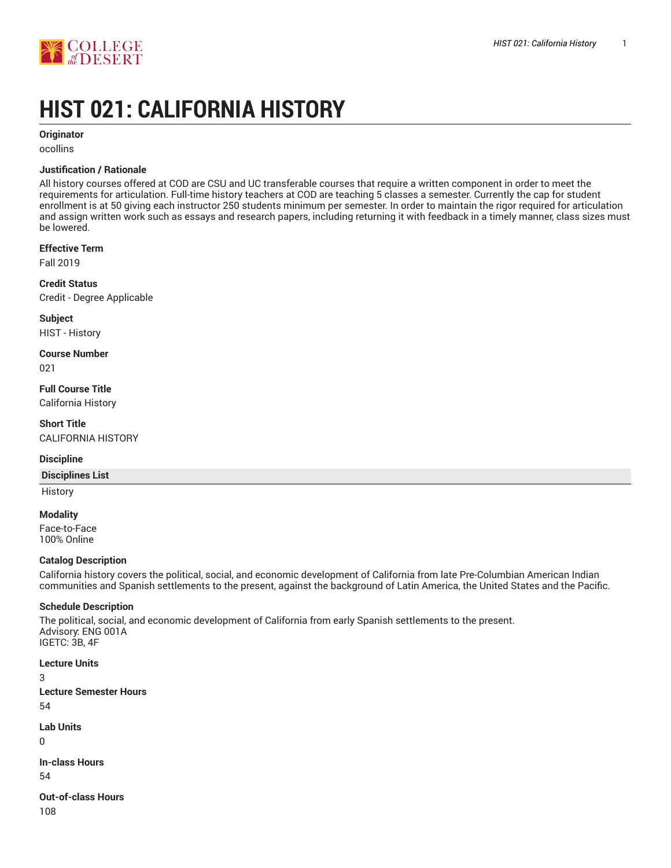

# **HIST 021: CALIFORNIA HISTORY**

**Originator**

ocollins

## **Justification / Rationale**

All history courses offered at COD are CSU and UC transferable courses that require a written component in order to meet the requirements for articulation. Full-time history teachers at COD are teaching 5 classes a semester. Currently the cap for student enrollment is at 50 giving each instructor 250 students minimum per semester. In order to maintain the rigor required for articulation and assign written work such as essays and research papers, including returning it with feedback in a timely manner, class sizes must be lowered.

#### **Effective Term**

Fall 2019

**Credit Status** Credit - Degree Applicable

**Subject** HIST - History

**Course Number**

021

**Full Course Title** California History

**Short Title** CALIFORNIA HISTORY

#### **Discipline**

#### **Disciplines List**

**History** 

#### **Modality**

Face-to-Face 100% Online

# **Catalog Description**

California history covers the political, social, and economic development of California from late Pre-Columbian American Indian communities and Spanish settlements to the present, against the background of Latin America, the United States and the Pacific.

# **Schedule Description**

The political, social, and economic development of California from early Spanish settlements to the present. Advisory: ENG 001A IGETC: 3B, 4F

**Lecture Units** 3 **Lecture Semester Hours** 54

**Lab Units** 0

**In-class Hours** 54

**Out-of-class Hours** 108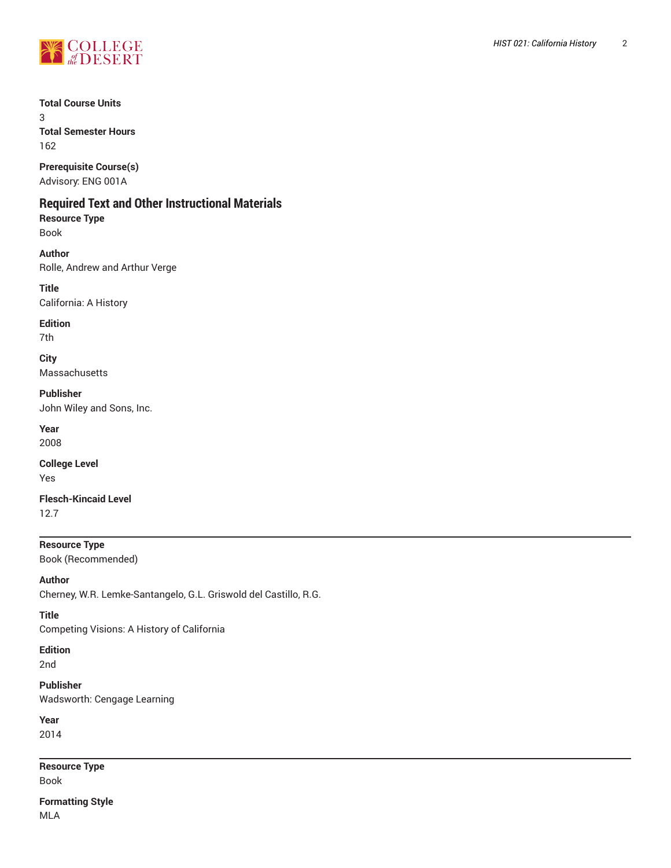

# **Total Course Units**

3 **Total Semester Hours** 162

**Prerequisite Course(s)** Advisory: ENG 001A

# **Required Text and Other Instructional Materials**

**Resource Type** Book

**Author** Rolle, Andrew and Arthur Verge

**Title** California: A History

**Edition** 7th

**City**

Massachusetts

**Publisher**

John Wiley and Sons, Inc.

**Year** 2008

**College Level** Yes

**Flesch-Kincaid Level** 12.7

**Resource Type** Book (Recommended)

**Author**

Cherney, W.R. Lemke-Santangelo, G.L. Griswold del Castillo, R.G.

**Title**

Competing Visions: A History of California

**Edition**

2nd

**Publisher** Wadsworth: Cengage Learning

**Year** 2014

**Resource Type** Book

**Formatting Style** MLA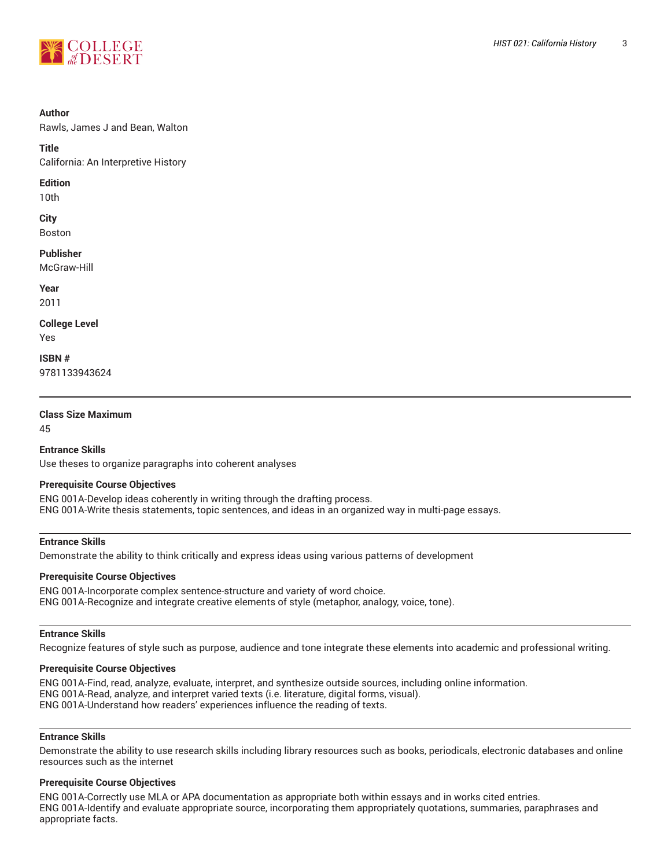

#### **Author**

Rawls, James J and Bean, Walton

**Title** California: An Interpretive History

#### **Edition**

10th

**City** Boston

**Publisher**

McGraw-Hill

**Year** 2011

**College Level** Yes

**ISBN #** 9781133943624

# **Class Size Maximum**

45

**Entrance Skills**

Use theses to organize paragraphs into coherent analyses

# **Prerequisite Course Objectives**

ENG 001A-Develop ideas coherently in writing through the drafting process. ENG 001A-Write thesis statements, topic sentences, and ideas in an organized way in multi-page essays.

# **Entrance Skills**

Demonstrate the ability to think critically and express ideas using various patterns of development

## **Prerequisite Course Objectives**

ENG 001A-Incorporate complex sentence-structure and variety of word choice. ENG 001A-Recognize and integrate creative elements of style (metaphor, analogy, voice, tone).

#### **Entrance Skills**

Recognize features of style such as purpose, audience and tone integrate these elements into academic and professional writing.

## **Prerequisite Course Objectives**

ENG 001A-Find, read, analyze, evaluate, interpret, and synthesize outside sources, including online information. ENG 001A-Read, analyze, and interpret varied texts (i.e. literature, digital forms, visual). ENG 001A-Understand how readers' experiences influence the reading of texts.

#### **Entrance Skills**

Demonstrate the ability to use research skills including library resources such as books, periodicals, electronic databases and online resources such as the internet

#### **Prerequisite Course Objectives**

ENG 001A-Correctly use MLA or APA documentation as appropriate both within essays and in works cited entries. ENG 001A-Identify and evaluate appropriate source, incorporating them appropriately quotations, summaries, paraphrases and appropriate facts.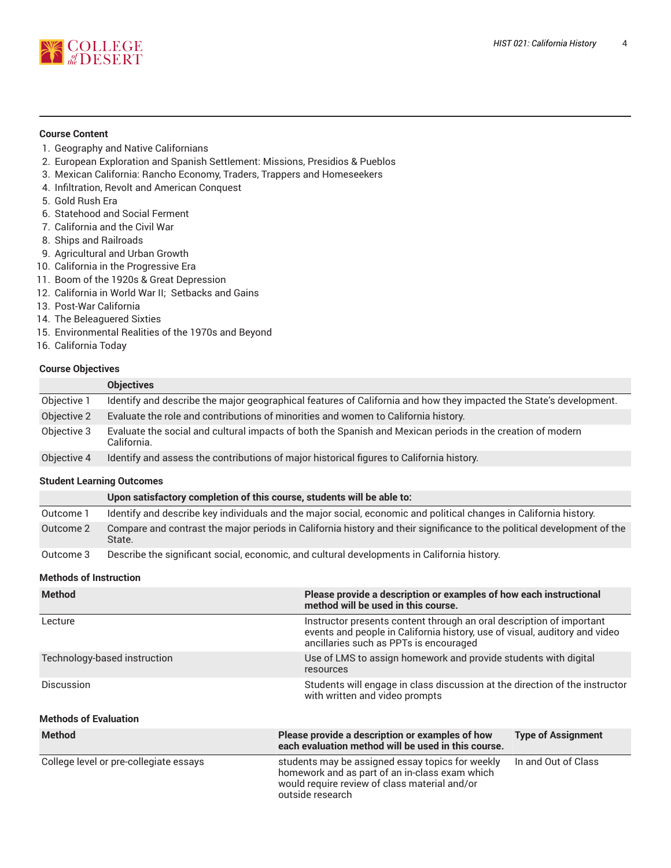

# **Course Content**

- 1. Geography and Native Californians
- 2. European Exploration and Spanish Settlement: Missions, Presidios & Pueblos
- 3. Mexican California: Rancho Economy, Traders, Trappers and Homeseekers
- 4. Infiltration, Revolt and American Conquest
- 5. Gold Rush Era
- 6. Statehood and Social Ferment
- 7. California and the Civil War
- 8. Ships and Railroads
- 9. Agricultural and Urban Growth
- 10. California in the Progressive Era
- 11. Boom of the 1920s & Great Depression
- 12. California in World War II; Setbacks and Gains
- 13. Post-War California
- 14. The Beleaguered Sixties
- 15. Environmental Realities of the 1970s and Beyond
- 16. California Today

### **Course Objectives**

|             | <b>Objectives</b>                                                                                                         |
|-------------|---------------------------------------------------------------------------------------------------------------------------|
| Objective 1 | Identify and describe the major geographical features of California and how they impacted the State's development.        |
| Objective 2 | Evaluate the role and contributions of minorities and women to California history.                                        |
| Objective 3 | Evaluate the social and cultural impacts of both the Spanish and Mexican periods in the creation of modern<br>California. |
| Objective 4 | Identify and assess the contributions of major historical figures to California history.                                  |

#### **Student Learning Outcomes**

|           | Upon satisfactory completion of this course, students will be able to:                                                            |
|-----------|-----------------------------------------------------------------------------------------------------------------------------------|
| Outcome 1 | Identify and describe key individuals and the major social, economic and political changes in California history.                 |
| Outcome 2 | Compare and contrast the major periods in California history and their significance to the political development of the<br>State. |
| Outcome 3 | Describe the significant social, economic, and cultural developments in California history.                                       |

## **Methods of Instruction**

| <b>Method</b>                | Please provide a description or examples of how each instructional<br>method will be used in this course.                                                                                    |  |  |
|------------------------------|----------------------------------------------------------------------------------------------------------------------------------------------------------------------------------------------|--|--|
| Lecture                      | Instructor presents content through an oral description of important<br>events and people in California history, use of visual, auditory and video<br>ancillaries such as PPTs is encouraged |  |  |
| Technology-based instruction | Use of LMS to assign homework and provide students with digital<br>resources                                                                                                                 |  |  |
| Discussion                   | Students will engage in class discussion at the direction of the instructor<br>with written and video prompts                                                                                |  |  |
| <b>Methods of Evaluation</b> |                                                                                                                                                                                              |  |  |
| <b>Method</b>                | Please provide a description or examples of how<br><b>Type of Assignment</b><br>each evaluation method will be used in this course.                                                          |  |  |

| College level or pre-collegiate essays | students may be assigned essay topics for weekly<br>homework and as part of an in-class exam which<br>would require review of class material and/or | In and Out of Class |
|----------------------------------------|-----------------------------------------------------------------------------------------------------------------------------------------------------|---------------------|
|                                        | outside research                                                                                                                                    |                     |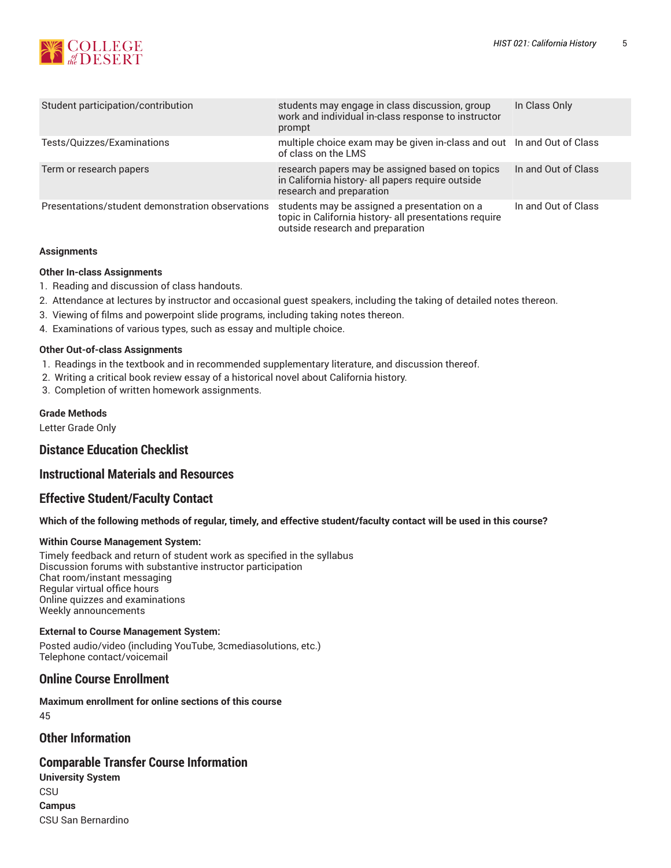

| Student participation/contribution               | students may engage in class discussion, group<br>work and individual in-class response to instructor<br>prompt                            | In Class Only       |
|--------------------------------------------------|--------------------------------------------------------------------------------------------------------------------------------------------|---------------------|
| Tests/Quizzes/Examinations                       | multiple choice exam may be given in-class and out In and Out of Class<br>of class on the LMS                                              |                     |
| Term or research papers                          | research papers may be assigned based on topics<br>in California history- all papers require outside<br>research and preparation           | In and Out of Class |
| Presentations/student demonstration observations | students may be assigned a presentation on a<br>topic in California history- all presentations require<br>outside research and preparation | In and Out of Class |

#### **Assignments**

#### **Other In-class Assignments**

- 1. Reading and discussion of class handouts.
- 2. Attendance at lectures by instructor and occasional guest speakers, including the taking of detailed notes thereon.
- 3. Viewing of films and powerpoint slide programs, including taking notes thereon.
- 4. Examinations of various types, such as essay and multiple choice.

#### **Other Out-of-class Assignments**

- 1. Readings in the textbook and in recommended supplementary literature, and discussion thereof.
- 2. Writing a critical book review essay of a historical novel about California history.
- 3. Completion of written homework assignments.

#### **Grade Methods**

Letter Grade Only

# **Distance Education Checklist**

# **Instructional Materials and Resources**

# **Effective Student/Faculty Contact**

#### Which of the following methods of regular, timely, and effective student/faculty contact will be used in this course?

#### **Within Course Management System:**

Timely feedback and return of student work as specified in the syllabus Discussion forums with substantive instructor participation Chat room/instant messaging Regular virtual office hours Online quizzes and examinations Weekly announcements

#### **External to Course Management System:**

Posted audio/video (including YouTube, 3cmediasolutions, etc.) Telephone contact/voicemail

# **Online Course Enrollment**

**Maximum enrollment for online sections of this course** 45

# **Other Information**

### **Comparable Transfer Course Information**

**University System CSU Campus** CSU San Bernardino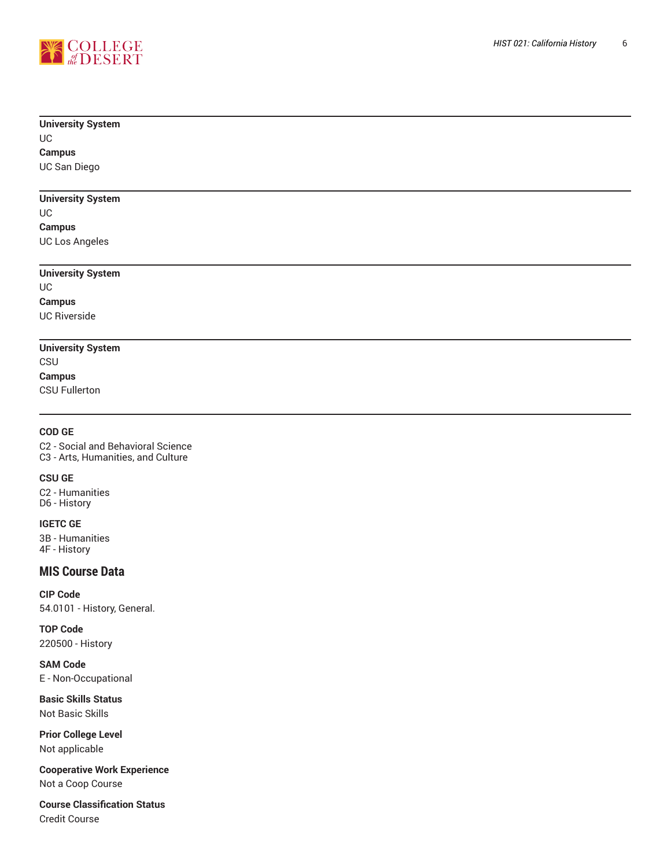

# **University System**

## UC **Campus**

UC San Diego

# **University** System

UC

## **Campus**

UC Los Angeles

# **University Syste m**

UC **Campus** UC River sid e

# **University System**

CSU

**Campus** CSU Fullerton

# **COD GE**

C2 - Social and Behavioral Science C3 - Arts, Humanities, and Culture , ,

# **CSU GE**

C2 - Humanities D6 - History

# **IGETC GE**

3B - Humanities 4F - History

# **MIS Course Data**

**CIP Code** 54.0101 - History, General.

**TOP Code** 220500 - History

**SAM Code** E - Non-Occupational

**Basic Skills Status** Not Basic Skills

**Prior College Level** Not applicable

**Cooperative W o r k E x p e r i e n c e** Not a Coop Course

**Course Classification Status** Credit Course